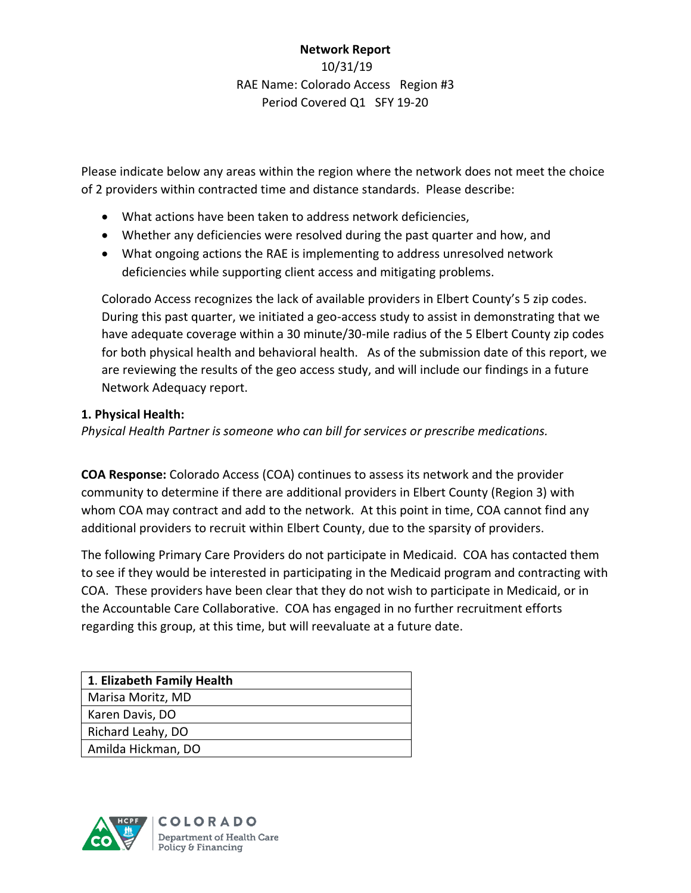# **Network Report** 10/31/19 RAE Name: Colorado Access Region #3 Period Covered Q1 SFY 19-20

Please indicate below any areas within the region where the network does not meet the choice of 2 providers within contracted time and distance standards. Please describe:

- What actions have been taken to address network deficiencies,
- Whether any deficiencies were resolved during the past quarter and how, and
- What ongoing actions the RAE is implementing to address unresolved network deficiencies while supporting client access and mitigating problems.

Colorado Access recognizes the lack of available providers in Elbert County's 5 zip codes. During this past quarter, we initiated a geo-access study to assist in demonstrating that we have adequate coverage within a 30 minute/30-mile radius of the 5 Elbert County zip codes for both physical health and behavioral health. As of the submission date of this report, we are reviewing the results of the geo access study, and will include our findings in a future Network Adequacy report.

## **1. Physical Health:**

*Physical Health Partner is someone who can bill for services or prescribe medications.*

**COA Response:** Colorado Access (COA) continues to assess its network and the provider community to determine if there are additional providers in Elbert County (Region 3) with whom COA may contract and add to the network. At this point in time, COA cannot find any additional providers to recruit within Elbert County, due to the sparsity of providers.

The following Primary Care Providers do not participate in Medicaid. COA has contacted them to see if they would be interested in participating in the Medicaid program and contracting with COA. These providers have been clear that they do not wish to participate in Medicaid, or in the Accountable Care Collaborative. COA has engaged in no further recruitment efforts regarding this group, at this time, but will reevaluate at a future date.

| 1. Elizabeth Family Health |
|----------------------------|
| Marisa Moritz, MD          |
| Karen Davis, DO            |
| Richard Leahy, DO          |
| Amilda Hickman, DO         |

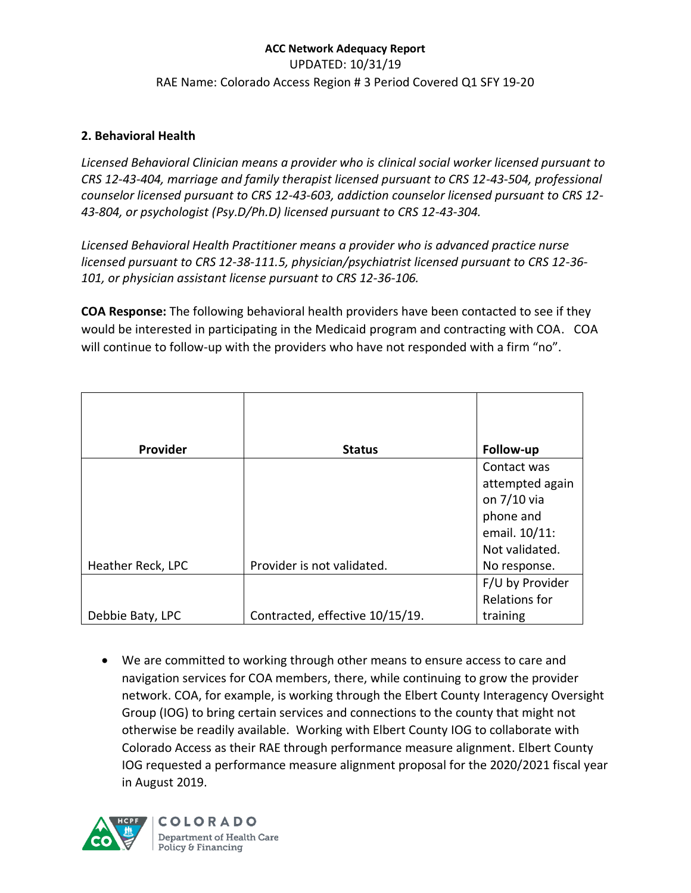## **ACC Network Adequacy Report**  UPDATED: 10/31/19 RAE Name: Colorado Access Region # 3 Period Covered Q1 SFY 19-20

### **2. Behavioral Health**

*Licensed Behavioral Clinician means a provider who is clinical social worker licensed pursuant to CRS 12-43-404, marriage and family therapist licensed pursuant to CRS 12-43-504, professional counselor licensed pursuant to CRS 12-43-603, addiction counselor licensed pursuant to CRS 12- 43-804, or psychologist (Psy.D/Ph.D) licensed pursuant to CRS 12-43-304.*

*Licensed Behavioral Health Practitioner means a provider who is advanced practice nurse licensed pursuant to CRS 12-38-111.5, physician/psychiatrist licensed pursuant to CRS 12-36- 101, or physician assistant license pursuant to CRS 12-36-106.*

**COA Response:** The following behavioral health providers have been contacted to see if they would be interested in participating in the Medicaid program and contracting with COA. COA will continue to follow-up with the providers who have not responded with a firm "no".

| Provider          | <b>Status</b>                   | Follow-up       |
|-------------------|---------------------------------|-----------------|
|                   |                                 | Contact was     |
|                   |                                 | attempted again |
|                   |                                 | on 7/10 via     |
|                   |                                 | phone and       |
|                   |                                 | email. 10/11:   |
|                   |                                 | Not validated.  |
| Heather Reck, LPC | Provider is not validated.      | No response.    |
|                   |                                 | F/U by Provider |
|                   |                                 | Relations for   |
| Debbie Baty, LPC  | Contracted, effective 10/15/19. | training        |

• We are committed to working through other means to ensure access to care and navigation services for COA members, there, while continuing to grow the provider network. COA, for example, is working through the Elbert County Interagency Oversight Group (IOG) to bring certain services and connections to the county that might not otherwise be readily available. Working with Elbert County IOG to collaborate with Colorado Access as their RAE through performance measure alignment. Elbert County IOG requested a performance measure alignment proposal for the 2020/2021 fiscal year in August 2019.

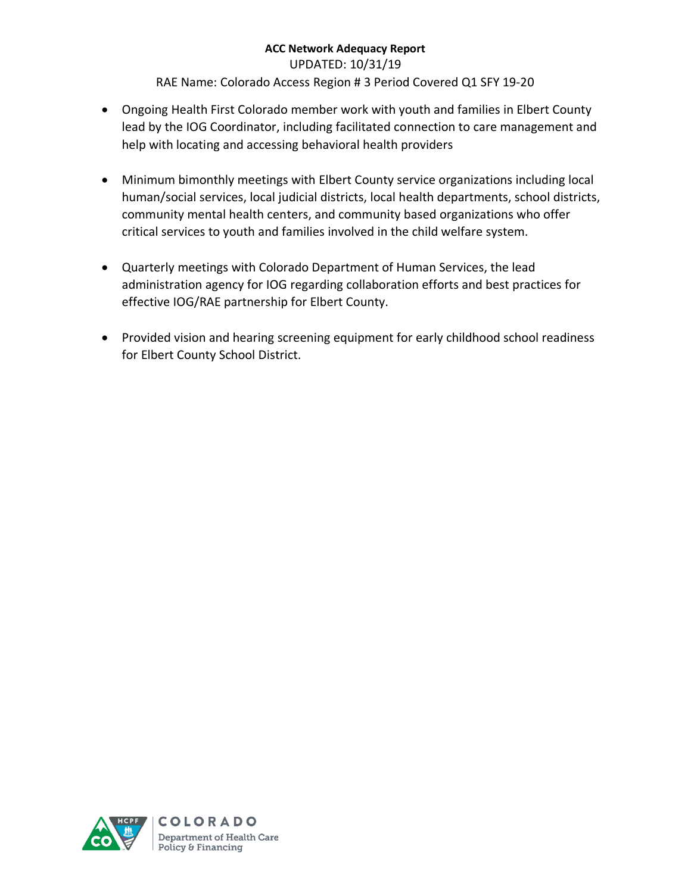UPDATED: 10/31/19

RAE Name: Colorado Access Region # 3 Period Covered Q1 SFY 19-20

- Ongoing Health First Colorado member work with youth and families in Elbert County lead by the IOG Coordinator, including facilitated connection to care management and help with locating and accessing behavioral health providers
- Minimum bimonthly meetings with Elbert County service organizations including local human/social services, local judicial districts, local health departments, school districts, community mental health centers, and community based organizations who offer critical services to youth and families involved in the child welfare system.
- Quarterly meetings with Colorado Department of Human Services, the lead administration agency for IOG regarding collaboration efforts and best practices for effective IOG/RAE partnership for Elbert County.
- Provided vision and hearing screening equipment for early childhood school readiness for Elbert County School District.

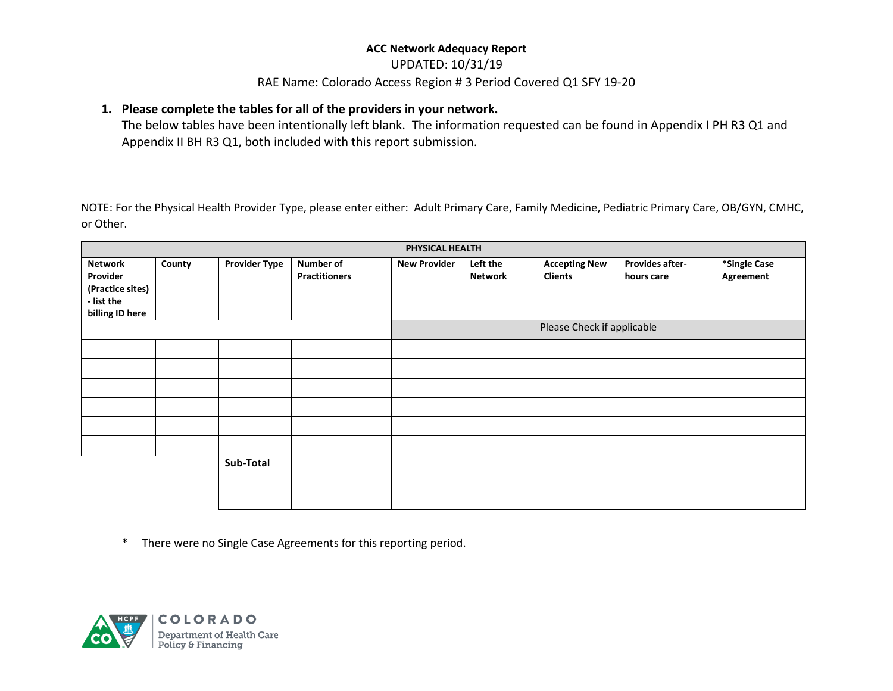#### UPDATED: 10/31/19

#### RAE Name: Colorado Access Region # 3 Period Covered Q1 SFY 19-20

### **1. Please complete the tables for all of the providers in your network.**

The below tables have been intentionally left blank. The information requested can be found in Appendix I PH R3 Q1 and Appendix II BH R3 Q1, both included with this report submission.

NOTE: For the Physical Health Provider Type, please enter either: Adult Primary Care, Family Medicine, Pediatric Primary Care, OB/GYN, CMHC, or Other.

|                                                                                 | PHYSICAL HEALTH |                      |                                   |                            |                            |                                        |                                      |                           |
|---------------------------------------------------------------------------------|-----------------|----------------------|-----------------------------------|----------------------------|----------------------------|----------------------------------------|--------------------------------------|---------------------------|
| <b>Network</b><br>Provider<br>(Practice sites)<br>- list the<br>billing ID here | County          | <b>Provider Type</b> | Number of<br><b>Practitioners</b> | <b>New Provider</b>        | Left the<br><b>Network</b> | <b>Accepting New</b><br><b>Clients</b> | <b>Provides after-</b><br>hours care | *Single Case<br>Agreement |
|                                                                                 |                 |                      |                                   | Please Check if applicable |                            |                                        |                                      |                           |
|                                                                                 |                 |                      |                                   |                            |                            |                                        |                                      |                           |
|                                                                                 |                 |                      |                                   |                            |                            |                                        |                                      |                           |
|                                                                                 |                 |                      |                                   |                            |                            |                                        |                                      |                           |
|                                                                                 |                 |                      |                                   |                            |                            |                                        |                                      |                           |
|                                                                                 |                 |                      |                                   |                            |                            |                                        |                                      |                           |
|                                                                                 |                 |                      |                                   |                            |                            |                                        |                                      |                           |
|                                                                                 |                 | Sub-Total            |                                   |                            |                            |                                        |                                      |                           |

\* There were no Single Case Agreements for this reporting period.

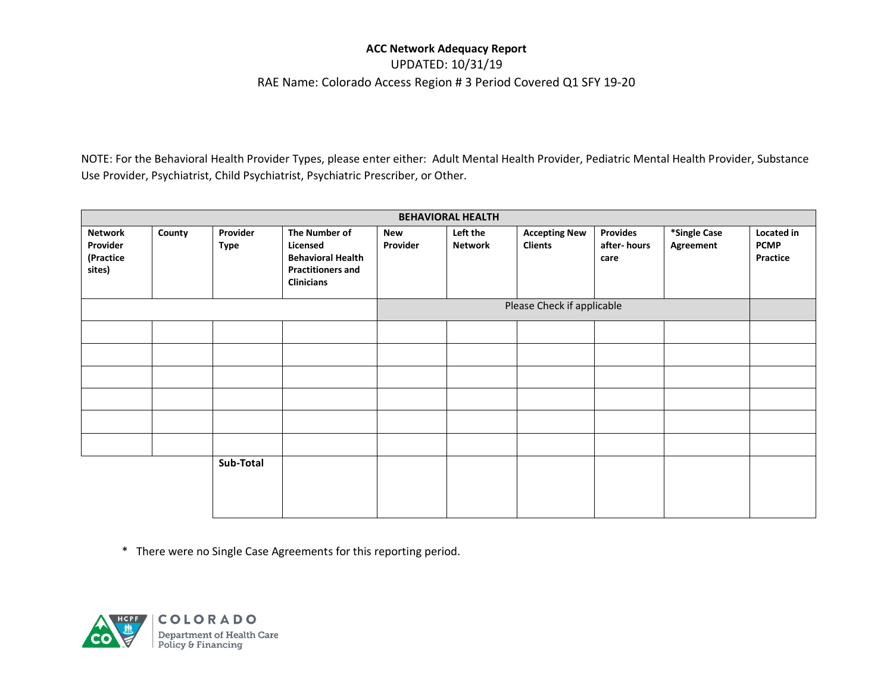### UPDATED: 10/31/19 RAE Name: Colorado Access Region # 3 Period Covered Q1 SFY 19-20

NOTE: For the Behavioral Health Provider Types, please enter either: Adult Mental Health Provider, Pediatric Mental Health Provider, Substance Use Provider, Psychiatrist, Child Psychiatrist, Psychiatric Prescriber, or Other.

| <b>BEHAVIORAL HEALTH</b>                          |        |                         |                                                                                                        |                 |                            |                                        |                                        |                           |                                       |
|---------------------------------------------------|--------|-------------------------|--------------------------------------------------------------------------------------------------------|-----------------|----------------------------|----------------------------------------|----------------------------------------|---------------------------|---------------------------------------|
| <b>Network</b><br>Provider<br>(Practice<br>sites) | County | Provider<br><b>Type</b> | The Number of<br>Licensed<br><b>Behavioral Health</b><br><b>Practitioners and</b><br><b>Clinicians</b> | New<br>Provider | Left the<br><b>Network</b> | <b>Accepting New</b><br><b>Clients</b> | <b>Provides</b><br>after-hours<br>care | *Single Case<br>Agreement | Located in<br><b>PCMP</b><br>Practice |
|                                                   |        |                         |                                                                                                        |                 |                            | Please Check if applicable             |                                        |                           |                                       |
|                                                   |        |                         |                                                                                                        |                 |                            |                                        |                                        |                           |                                       |
|                                                   |        |                         |                                                                                                        |                 |                            |                                        |                                        |                           |                                       |
|                                                   |        |                         |                                                                                                        |                 |                            |                                        |                                        |                           |                                       |
|                                                   |        |                         |                                                                                                        |                 |                            |                                        |                                        |                           |                                       |
|                                                   |        |                         |                                                                                                        |                 |                            |                                        |                                        |                           |                                       |
|                                                   |        |                         |                                                                                                        |                 |                            |                                        |                                        |                           |                                       |
|                                                   |        | Sub-Total               |                                                                                                        |                 |                            |                                        |                                        |                           |                                       |

\* There were no Single Case Agreements for this reporting period.

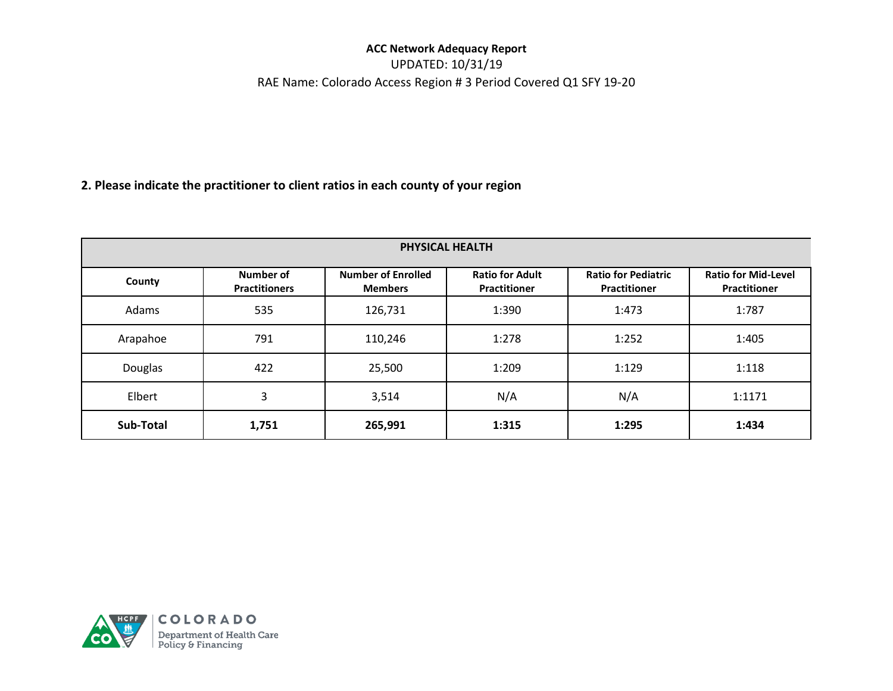UPDATED: 10/31/19 RAE Name: Colorado Access Region # 3 Period Covered Q1 SFY 19-20

## **2. Please indicate the practitioner to client ratios in each county of your region**

| PHYSICAL HEALTH |                                          |                                             |                                               |                                                   |                                            |  |  |
|-----------------|------------------------------------------|---------------------------------------------|-----------------------------------------------|---------------------------------------------------|--------------------------------------------|--|--|
| County          | <b>Number of</b><br><b>Practitioners</b> | <b>Number of Enrolled</b><br><b>Members</b> | <b>Ratio for Adult</b><br><b>Practitioner</b> | <b>Ratio for Pediatric</b><br><b>Practitioner</b> | <b>Ratio for Mid-Level</b><br>Practitioner |  |  |
| Adams           | 535                                      | 126,731                                     | 1:390                                         | 1:473                                             | 1:787                                      |  |  |
| Arapahoe        | 791                                      | 110,246                                     | 1:278                                         | 1:252                                             | 1:405                                      |  |  |
| Douglas         | 422                                      | 25,500                                      | 1:209                                         | 1:129                                             | 1:118                                      |  |  |
| Elbert          | 3                                        | 3,514                                       | N/A                                           | N/A                                               | 1:1171                                     |  |  |
| Sub-Total       | 1,751                                    | 265,991                                     | 1:315                                         | 1:295                                             | 1:434                                      |  |  |